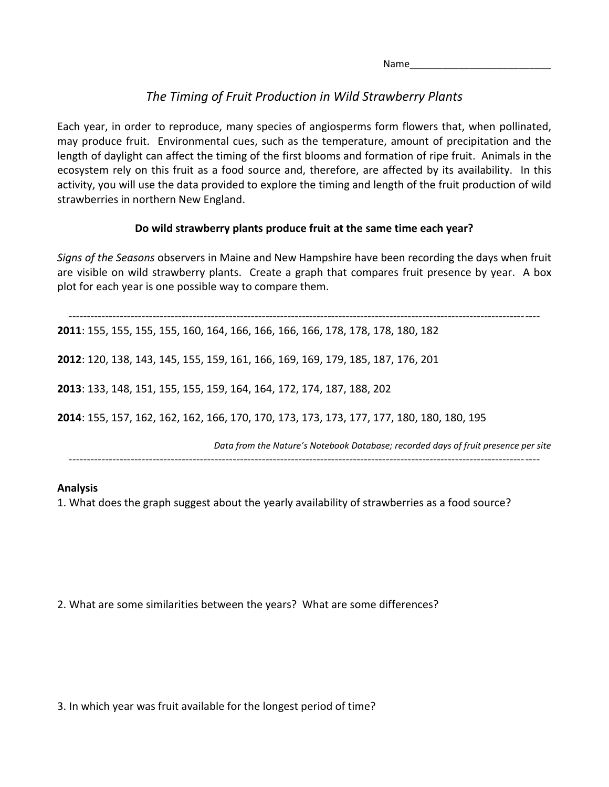Name\_\_\_\_\_\_\_\_\_\_\_\_\_\_\_\_\_\_\_\_\_\_\_\_\_\_

# *The Timing of Fruit Production in Wild Strawberry Plants*

Each year, in order to reproduce, many species of angiosperms form flowers that, when pollinated, may produce fruit. Environmental cues, such as the temperature, amount of precipitation and the length of daylight can affect the timing of the first blooms and formation of ripe fruit. Animals in the ecosystem rely on this fruit as a food source and, therefore, are affected by its availability. In this activity, you will use the data provided to explore the timing and length of the fruit production of wild strawberries in northern New England.

## **Do wild strawberry plants produce fruit at the same time each year?**

*Signs of the Seasons* observers in Maine and New Hampshire have been recording the days when fruit are visible on wild strawberry plants. Create a graph that compares fruit presence by year. A box plot for each year is one possible way to compare them.

--------------------------------------------------------------------------------------------------------------------------------- : 155, 155, 155, 155, 160, 164, 166, 166, 166, 166, 178, 178, 178, 180, 182 : 120, 138, 143, 145, 155, 159, 161, 166, 169, 169, 179, 185, 187, 176, 201 : 133, 148, 151, 155, 155, 159, 164, 164, 172, 174, 187, 188, 202 : 155, 157, 162, 162, 162, 166, 170, 170, 173, 173, 173, 177, 177, 180, 180, 180, 195 *Data from the Nature's Notebook Database; recorded days of fruit presence per site*

---------------------------------------------------------------------------------------------------------------------------------

### **Analysis**

1. What does the graph suggest about the yearly availability of strawberries as a food source?

2. What are some similarities between the years? What are some differences?

3. In which year was fruit available for the longest period of time?